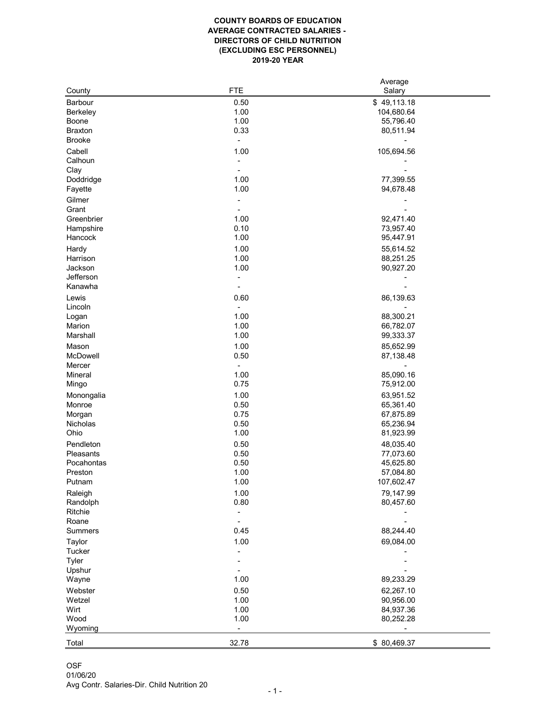## **COUNTY BOARDS OF EDUCATION AVERAGE CONTRACTED SALARIES - DIRECTORS OF CHILD NUTRITION (EXCLUDING ESC PERSONNEL) 2019-20 YEAR**

|                 |            | Average     |
|-----------------|------------|-------------|
| County          | <b>FTE</b> | Salary      |
| <b>Barbour</b>  | 0.50       | \$49,113.18 |
| <b>Berkeley</b> | 1.00       | 104,680.64  |
| <b>Boone</b>    | 1.00       | 55,796.40   |
| <b>Braxton</b>  | 0.33       | 80,511.94   |
| <b>Brooke</b>   |            |             |
|                 |            |             |
| Cabell          | 1.00       | 105,694.56  |
| Calhoun         |            |             |
| Clay            |            |             |
| Doddridge       | 1.00       | 77,399.55   |
| Fayette         | 1.00       | 94,678.48   |
| Gilmer          |            |             |
| Grant           |            |             |
| Greenbrier      | 1.00       | 92,471.40   |
| Hampshire       | 0.10       | 73,957.40   |
| Hancock         | 1.00       | 95,447.91   |
|                 |            |             |
| Hardy           | 1.00       | 55,614.52   |
| Harrison        | 1.00       | 88,251.25   |
| Jackson         | 1.00       | 90,927.20   |
| Jefferson       |            |             |
| Kanawha         |            |             |
| Lewis           | 0.60       | 86,139.63   |
| Lincoln         |            |             |
| Logan           | 1.00       | 88,300.21   |
| Marion          | 1.00       | 66,782.07   |
| Marshall        | 1.00       | 99,333.37   |
| Mason           | 1.00       | 85,652.99   |
| McDowell        | 0.50       | 87,138.48   |
|                 |            |             |
| Mercer          |            |             |
| <b>Mineral</b>  | 1.00       | 85,090.16   |
| Mingo           | 0.75       | 75,912.00   |
| Monongalia      | 1.00       | 63,951.52   |
| Monroe          | 0.50       | 65,361.40   |
| Morgan          | 0.75       | 67,875.89   |
| Nicholas        | 0.50       | 65,236.94   |
| Ohio            | 1.00       | 81,923.99   |
| Pendleton       | 0.50       | 48,035.40   |
| Pleasants       | 0.50       | 77,073.60   |
| Pocahontas      | 0.50       | 45,625.80   |
|                 |            |             |
| Preston         | 1.00       | 57,084.80   |
| Putnam          | 1.00       | 107,602.47  |
| Raleigh         | 1.00       | 79,147.99   |
| Randolph        | 0.80       | 80,457.60   |
| Ritchie         |            |             |
| Roane           |            |             |
| <b>Summers</b>  | 0.45       | 88,244.40   |
| <b>Taylor</b>   | 1.00       | 69,084.00   |
| <b>Tucker</b>   |            |             |
| <b>Tyler</b>    |            |             |
|                 |            |             |
| Upshur          |            |             |
| Wayne           | 1.00       | 89,233.29   |
| Webster         | 0.50       | 62,267.10   |
| Wetzel          | 1.00       | 90,956.00   |
| Wirt            | 1.00       | 84,937.36   |
| Wood            | 1.00       | 80,252.28   |
| Wyoming         |            |             |
|                 |            |             |
| Total           | 32.78      | \$80,469.37 |